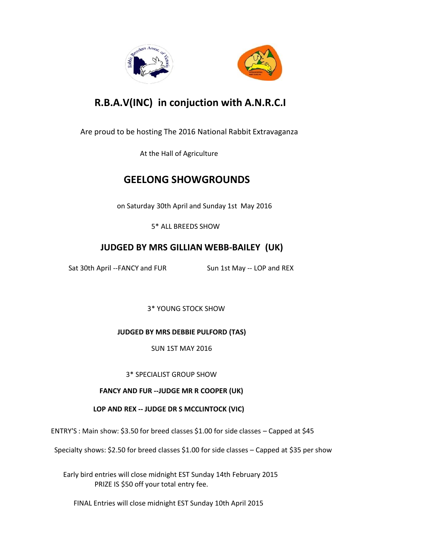

# **R.B.A.V(INC) in conjuction with A.N.R.C.I**

Are proud to be hosting The 2016 National Rabbit Extravaganza

At the Hall of Agriculture

## **GEELONG SHOWGROUNDS**

on Saturday 30th April and Sunday 1st May 2016

5\* ALL BREEDS SHOW

## **JUDGED BY MRS GILLIAN WEBB-BAILEY (UK)**

Sat 30th April --FANCY and FUR Sun 1st May -- LOP and REX

3\* YOUNG STOCK SHOW

**JUDGED BY MRS DEBBIE PULFORD (TAS)**

SUN 1ST MAY 2016

3\* SPECIALIST GROUP SHOW

#### **FANCY AND FUR --JUDGE MR R COOPER (UK)**

**LOP AND REX -- JUDGE DR S MCCLINTOCK (VIC)**

ENTRY'S : Main show: \$3.50 for breed classes \$1.00 for side classes – Capped at \$45

Specialty shows: \$2.50 for breed classes \$1.00 for side classes – Capped at \$35 per show

Early bird entries will close midnight EST Sunday 14th February 2015 PRIZE IS \$50 off your total entry fee.

FINAL Entries will close midnight EST Sunday 10th April 2015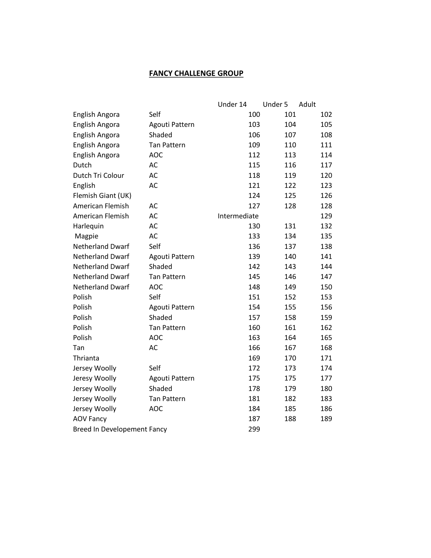#### **FANCY CHALLENGE GROUP**

|                             |                    | Under 14     | Under 5 | Adult |
|-----------------------------|--------------------|--------------|---------|-------|
| English Angora              | Self               | 100          | 101     | 102   |
| English Angora              | Agouti Pattern     | 103          | 104     | 105   |
| English Angora              | Shaded             | 106          | 107     | 108   |
| English Angora              | <b>Tan Pattern</b> | 109          | 110     | 111   |
| English Angora              | <b>AOC</b>         | 112          | 113     | 114   |
| Dutch                       | AC                 | 115          | 116     | 117   |
| Dutch Tri Colour            | AC                 | 118          | 119     | 120   |
| English                     | AC                 | 121          | 122     | 123   |
| Flemish Giant (UK)          |                    | 124          | 125     | 126   |
| American Flemish            | AC                 | 127          | 128     | 128   |
| American Flemish            | AC                 | Intermediate |         | 129   |
| Harlequin                   | AC                 | 130          | 131     | 132   |
| Magpie                      | AC                 | 133          | 134     | 135   |
| <b>Netherland Dwarf</b>     | Self               | 136          | 137     | 138   |
| <b>Netherland Dwarf</b>     | Agouti Pattern     | 139          | 140     | 141   |
| <b>Netherland Dwarf</b>     | Shaded             | 142          | 143     | 144   |
| <b>Netherland Dwarf</b>     | <b>Tan Pattern</b> | 145          | 146     | 147   |
| <b>Netherland Dwarf</b>     | <b>AOC</b>         | 148          | 149     | 150   |
| Polish                      | Self               | 151          | 152     | 153   |
| Polish                      | Agouti Pattern     | 154          | 155     | 156   |
| Polish                      | Shaded             | 157          | 158     | 159   |
| Polish                      | <b>Tan Pattern</b> | 160          | 161     | 162   |
| Polish                      | <b>AOC</b>         | 163          | 164     | 165   |
| Tan                         | AC                 | 166          | 167     | 168   |
| Thrianta                    |                    | 169          | 170     | 171   |
| Jersey Woolly               | Self               | 172          | 173     | 174   |
| Jeresy Woolly               | Agouti Pattern     | 175          | 175     | 177   |
| Jersey Woolly               | Shaded             | 178          | 179     | 180   |
| Jersey Woolly               | <b>Tan Pattern</b> | 181          | 182     | 183   |
| Jersey Woolly               | <b>AOC</b>         | 184          | 185     | 186   |
| <b>AOV Fancy</b>            |                    | 187          | 188     | 189   |
| Breed In Developement Fancy |                    | 299          |         |       |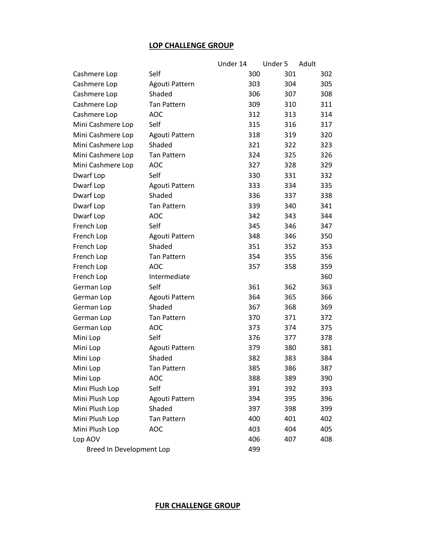#### **LOP CHALLENGE GROUP**

|                          |                    | Under 14 | Under 5 | Adult |
|--------------------------|--------------------|----------|---------|-------|
| Cashmere Lop             | Self               | 300      | 301     | 302   |
| Cashmere Lop             | Agouti Pattern     | 303      | 304     | 305   |
| Cashmere Lop             | Shaded             | 306      | 307     | 308   |
| Cashmere Lop             | <b>Tan Pattern</b> | 309      | 310     | 311   |
| Cashmere Lop             | <b>AOC</b>         | 312      | 313     | 314   |
| Mini Cashmere Lop        | Self               | 315      | 316     | 317   |
| Mini Cashmere Lop        | Agouti Pattern     | 318      | 319     | 320   |
| Mini Cashmere Lop        | Shaded             | 321      | 322     | 323   |
| Mini Cashmere Lop        | <b>Tan Pattern</b> | 324      | 325     | 326   |
| Mini Cashmere Lop        | <b>AOC</b>         | 327      | 328     | 329   |
| Dwarf Lop                | Self               | 330      | 331     | 332   |
| Dwarf Lop                | Agouti Pattern     | 333      | 334     | 335   |
| Dwarf Lop                | Shaded             | 336      | 337     | 338   |
| Dwarf Lop                | <b>Tan Pattern</b> | 339      | 340     | 341   |
| Dwarf Lop                | <b>AOC</b>         | 342      | 343     | 344   |
| French Lop               | Self               | 345      | 346     | 347   |
| French Lop               | Agouti Pattern     | 348      | 346     | 350   |
| French Lop               | Shaded             | 351      | 352     | 353   |
| French Lop               | <b>Tan Pattern</b> | 354      | 355     | 356   |
| French Lop               | <b>AOC</b>         | 357      | 358     | 359   |
| French Lop               | Intermediate       |          |         | 360   |
| German Lop               | Self               | 361      | 362     | 363   |
| German Lop               | Agouti Pattern     | 364      | 365     | 366   |
| German Lop               | Shaded             | 367      | 368     | 369   |
| German Lop               | <b>Tan Pattern</b> | 370      | 371     | 372   |
| German Lop               | <b>AOC</b>         | 373      | 374     | 375   |
| Mini Lop                 | Self               | 376      | 377     | 378   |
| Mini Lop                 | Agouti Pattern     | 379      | 380     | 381   |
| Mini Lop                 | Shaded             | 382      | 383     | 384   |
| Mini Lop                 | <b>Tan Pattern</b> | 385      | 386     | 387   |
| Mini Lop                 | AOC                | 388      | 389     | 390   |
| Mini Plush Lop           | Self               | 391      | 392     | 393   |
| Mini Plush Lop           | Agouti Pattern     | 394      | 395     | 396   |
| Mini Plush Lop           | Shaded             | 397      | 398     | 399   |
| Mini Plush Lop           | Tan Pattern        | 400      | 401     | 402   |
| Mini Plush Lop           | <b>AOC</b>         | 403      | 404     | 405   |
| Lop AOV                  |                    | 406      | 407     | 408   |
| Breed In Development Lop |                    | 499      |         |       |

### **FUR CHALLENGE GROUP**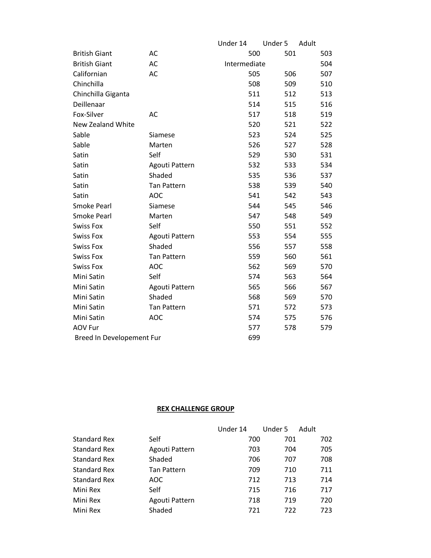|                           |                    | Under 14     | Under 5 | Adult |
|---------------------------|--------------------|--------------|---------|-------|
| <b>British Giant</b>      | AC                 | 500          | 501     | 503   |
| <b>British Giant</b>      | AC                 | Intermediate |         | 504   |
| Californian               | AC                 | 505          | 506     | 507   |
| Chinchilla                |                    | 508          | 509     | 510   |
| Chinchilla Giganta        |                    | 511          | 512     | 513   |
| Deillenaar                |                    | 514          | 515     | 516   |
| Fox-Silver                | AC                 | 517          | 518     | 519   |
| New Zealand White         |                    | 520          | 521     | 522   |
| Sable                     | Siamese            | 523          | 524     | 525   |
| Sable                     | Marten             | 526          | 527     | 528   |
| Satin                     | Self               | 529          | 530     | 531   |
| Satin                     | Agouti Pattern     | 532          | 533     | 534   |
| Satin                     | Shaded             | 535          | 536     | 537   |
| Satin                     | <b>Tan Pattern</b> | 538          | 539     | 540   |
| Satin                     | <b>AOC</b>         | 541          | 542     | 543   |
| <b>Smoke Pearl</b>        | Siamese            | 544          | 545     | 546   |
| <b>Smoke Pearl</b>        | Marten             | 547          | 548     | 549   |
| <b>Swiss Fox</b>          | Self               | 550          | 551     | 552   |
| <b>Swiss Fox</b>          | Agouti Pattern     | 553          | 554     | 555   |
| <b>Swiss Fox</b>          | Shaded             | 556          | 557     | 558   |
| <b>Swiss Fox</b>          | <b>Tan Pattern</b> | 559          | 560     | 561   |
| <b>Swiss Fox</b>          | <b>AOC</b>         | 562          | 569     | 570   |
| Mini Satin                | Self               | 574          | 563     | 564   |
| Mini Satin                | Agouti Pattern     | 565          | 566     | 567   |
| Mini Satin                | Shaded             | 568          | 569     | 570   |
| Mini Satin                | <b>Tan Pattern</b> | 571          | 572     | 573   |
| Mini Satin                | <b>AOC</b>         | 574          | 575     | 576   |
| <b>AOV Fur</b>            |                    | 577          | 578     | 579   |
| Breed In Developement Fur |                    | 699          |         |       |

#### **REX CHALLENGE GROUP**

|                     |                    | Under 14 | Under 5 | Adult |
|---------------------|--------------------|----------|---------|-------|
| Standard Rex        | Self               | 700      | 701     | 702   |
| <b>Standard Rex</b> | Agouti Pattern     | 703      | 704     | 705   |
| <b>Standard Rex</b> | Shaded             | 706      | 707     | 708   |
| <b>Standard Rex</b> | <b>Tan Pattern</b> | 709      | 710     | 711   |
| <b>Standard Rex</b> | AOC                | 712      | 713     | 714   |
| Mini Rex            | Self               | 715      | 716     | 717   |
| Mini Rex            | Agouti Pattern     | 718      | 719     | 720   |
| Mini Rex            | Shaded             | 721      | 722     | 723   |
|                     |                    |          |         |       |